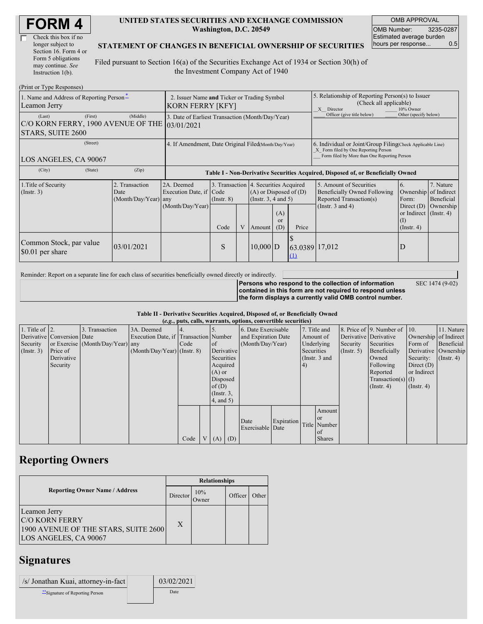| <b>FORM4</b> |  |
|--------------|--|
|--------------|--|

| Check this box if no  |  |
|-----------------------|--|
| longer subject to     |  |
| Section 16. Form 4 or |  |
| Form 5 obligations    |  |
| may continue. See     |  |
| Instruction $1(b)$ .  |  |

#### **UNITED STATES SECURITIES AND EXCHANGE COMMISSION Washington, D.C. 20549**

OMB APPROVAL OMB Number: 3235-0287 Estimated average burden hours per response... 0.5

#### **STATEMENT OF CHANGES IN BENEFICIAL OWNERSHIP OF SECURITIES**

Filed pursuant to Section 16(a) of the Securities Exchange Act of 1934 or Section 30(h) of the Investment Company Act of 1940

| (Print or Type Responses)                                                    |                                                                        |                                                                 |                                 |  |                                                                                                                                              |  |                                                                                                                                                    |                                                                                                             |                                                                                              |                                                     |  |
|------------------------------------------------------------------------------|------------------------------------------------------------------------|-----------------------------------------------------------------|---------------------------------|--|----------------------------------------------------------------------------------------------------------------------------------------------|--|----------------------------------------------------------------------------------------------------------------------------------------------------|-------------------------------------------------------------------------------------------------------------|----------------------------------------------------------------------------------------------|-----------------------------------------------------|--|
| 1. Name and Address of Reporting Person-<br>Leamon Jerry                     | 2. Issuer Name and Ticker or Trading Symbol<br><b>KORN FERRY [KFY]</b> |                                                                 |                                 |  |                                                                                                                                              |  | 5. Relationship of Reporting Person(s) to Issuer<br>(Check all applicable)<br>10% Owner<br>X Director                                              |                                                                                                             |                                                                                              |                                                     |  |
| (First)<br>(Last)<br>C/O KORN FERRY, 1900 AVENUE OF THE<br>STARS, SUITE 2600 | (Middle)                                                               | 3. Date of Earliest Transaction (Month/Day/Year)<br> 03/01/2021 |                                 |  |                                                                                                                                              |  |                                                                                                                                                    | Officer (give title below)                                                                                  | Other (specify below)                                                                        |                                                     |  |
| (Street)<br>LOS ANGELES, CA 90067                                            | 4. If Amendment, Date Original Filed(Month/Day/Year)                   |                                                                 |                                 |  |                                                                                                                                              |  | 6. Individual or Joint/Group Filing Check Applicable Line)<br>X Form filed by One Reporting Person<br>Form filed by More than One Reporting Person |                                                                                                             |                                                                                              |                                                     |  |
| (City)<br>(State)                                                            | (Zip)                                                                  |                                                                 |                                 |  |                                                                                                                                              |  |                                                                                                                                                    | Table I - Non-Derivative Securities Acquired, Disposed of, or Beneficially Owned                            |                                                                                              |                                                     |  |
| 1. Title of Security<br>$($ Instr. 3 $)$                                     | Transaction<br>Date<br>(Month/Day/Year) any                            | 2A. Deemed<br>Execution Date, if<br>(Month/Day/Year)            | Code<br>$($ Instr. $8)$<br>Code |  | 3. Transaction 4. Securities Acquired<br>$(A)$ or Disposed of $(D)$<br>(Instr. $3, 4$ and $5$ )<br>(A)<br>$\alpha$<br>Price<br>(D)<br>Amount |  |                                                                                                                                                    | 5. Amount of Securities<br>Beneficially Owned Following<br>Reported Transaction(s)<br>(Instr. $3$ and $4$ ) | 6.<br>Ownership<br>Form:<br>Direct $(D)$<br>or Indirect $($ Instr. 4 $)$<br>$($ Instr. 4 $)$ | 7. Nature<br>of Indirect<br>Beneficial<br>Ownership |  |
| Common Stock, par value<br>\$0.01 per share                                  | 03/01/2021                                                             |                                                                 | S                               |  | $10,000$ D                                                                                                                                   |  | 63.0389 17,012<br>$\Omega$                                                                                                                         |                                                                                                             | D                                                                                            |                                                     |  |

Reminder: Report on a separate line for each class of securities beneficially owned directly or indirectly.

**Persons who respond to the collection of information contained in this form are not required to respond unless the form displays a currently valid OMB control number.** SEC 1474 (9-02)

**Table II - Derivative Securities Acquired, Disposed of, or Beneficially Owned (***e.g.***, puts, calls, warrants, options, convertible securities)**

|                        | $(c, \zeta, \mu, \zeta)$ cans, warrants, options, convertible securities) |                                  |                                       |      |  |                 |            |                     |            |           |               |                       |                              |                       |               |  |                      |
|------------------------|---------------------------------------------------------------------------|----------------------------------|---------------------------------------|------|--|-----------------|------------|---------------------|------------|-----------|---------------|-----------------------|------------------------------|-----------------------|---------------|--|----------------------|
| 1. Title of $\vert$ 2. |                                                                           | 3. Transaction                   | 3A. Deemed                            |      |  |                 |            | 6. Date Exercisable |            |           | 7. Title and  |                       | 8. Price of 9. Number of 10. |                       | 11. Nature    |  |                      |
|                        | Derivative Conversion Date                                                |                                  | Execution Date, if Transaction Number |      |  |                 |            | and Expiration Date |            | Amount of |               | Derivative Derivative |                              | Ownership of Indirect |               |  |                      |
| Security               |                                                                           | or Exercise (Month/Day/Year) any |                                       | Code |  | of              |            | (Month/Day/Year)    |            |           | Underlying    | Security              | Securities                   | Form of               | Beneficial    |  |                      |
| (Insert. 3)            | Price of                                                                  |                                  | $(Month/Day/Year)$ (Instr. 8)         |      |  |                 | Derivative |                     |            |           |               | Securities            |                              | $($ Instr. 5)         | Beneficially  |  | Derivative Ownership |
|                        | Derivative                                                                |                                  |                                       |      |  | Securities      |            |                     |            |           | (Instr. 3 and |                       | Owned                        | Security:             | $($ Instr. 4) |  |                      |
|                        | Security                                                                  |                                  |                                       |      |  | Acquired        |            |                     |            | 4)        |               |                       | Following                    | Direct $(D)$          |               |  |                      |
|                        |                                                                           |                                  |                                       |      |  | $(A)$ or        |            |                     |            |           |               |                       | Reported                     | or Indirect           |               |  |                      |
|                        |                                                                           |                                  |                                       |      |  | Disposed        |            |                     |            |           |               |                       | $Transaction(s)$ (I)         |                       |               |  |                      |
|                        |                                                                           |                                  |                                       |      |  | of(D)           |            |                     |            |           |               |                       | $($ Instr. 4)                | $($ Instr. 4 $)$      |               |  |                      |
|                        |                                                                           |                                  |                                       |      |  | $($ Instr. 3,   |            |                     |            |           |               |                       |                              |                       |               |  |                      |
|                        |                                                                           |                                  |                                       |      |  | $4$ , and $5$ ) |            |                     |            |           |               |                       |                              |                       |               |  |                      |
|                        |                                                                           |                                  |                                       |      |  |                 |            |                     |            |           | Amount        |                       |                              |                       |               |  |                      |
|                        |                                                                           |                                  |                                       |      |  |                 |            | Date                | Expiration |           | <sub>or</sub> |                       |                              |                       |               |  |                      |
|                        |                                                                           |                                  |                                       |      |  |                 |            | Exercisable Date    |            |           | Title Number  |                       |                              |                       |               |  |                      |
|                        |                                                                           |                                  |                                       |      |  |                 |            |                     |            |           | $\alpha$ f    |                       |                              |                       |               |  |                      |
|                        |                                                                           |                                  |                                       | Code |  | V(A)            | (D)        |                     |            |           | <b>Shares</b> |                       |                              |                       |               |  |                      |

## **Reporting Owners**

|                                                                                                        | <b>Relationships</b> |                 |         |       |  |  |  |
|--------------------------------------------------------------------------------------------------------|----------------------|-----------------|---------|-------|--|--|--|
| <b>Reporting Owner Name / Address</b>                                                                  | Director             | 10%<br><b>T</b> | Officer | Other |  |  |  |
| Leamon Jerry<br><b>C/O KORN FERRY</b><br>1900 AVENUE OF THE STARS, SUITE 2600<br>LOS ANGELES, CA 90067 | Χ                    |                 |         |       |  |  |  |

## **Signatures**

| /s/ Jonathan Kuai, attorney-in-fact | 03/02/2021 |
|-------------------------------------|------------|
| ** Signature of Reporting Person    | Date       |
|                                     |            |